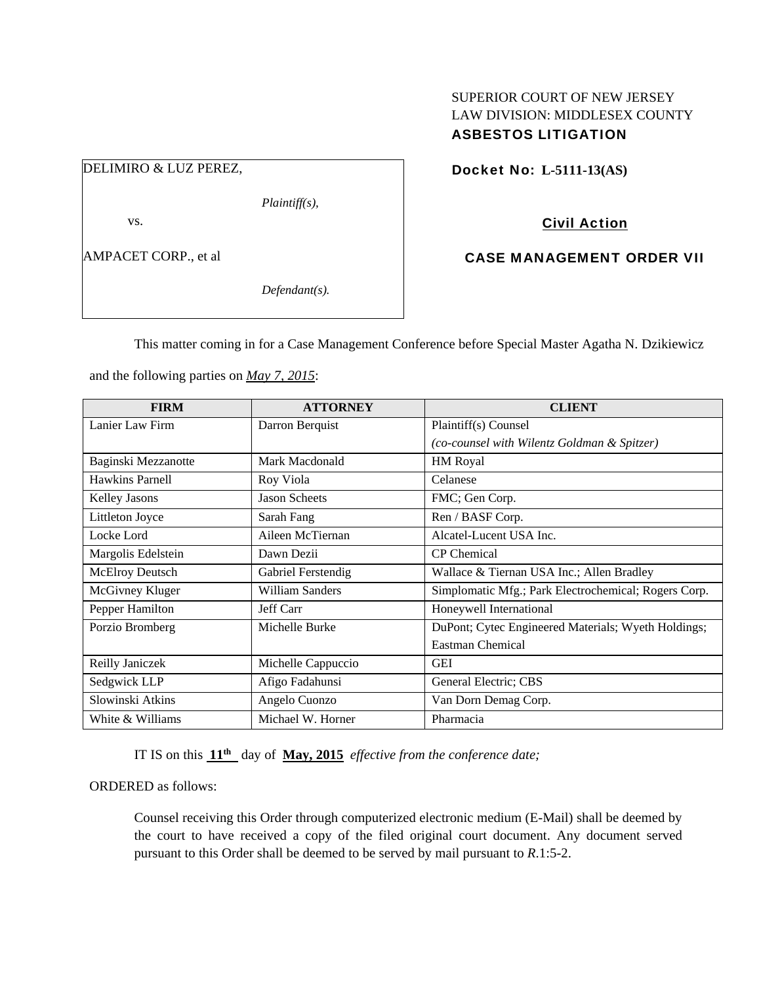## SUPERIOR COURT OF NEW JERSEY LAW DIVISION: MIDDLESEX COUNTY ASBESTOS LITIGATION

DELIMIRO & LUZ PEREZ,

*Plaintiff(s),* 

vs.

AMPACET CORP., et al

*Defendant(s).* 

Docket No: **L-5111-13(AS)** 

Civil Action

CASE MANAGEMENT ORDER VII

This matter coming in for a Case Management Conference before Special Master Agatha N. Dzikiewicz

and the following parties on *May 7, 2015*:

| <b>FIRM</b>          | <b>ATTORNEY</b>      | <b>CLIENT</b>                                        |
|----------------------|----------------------|------------------------------------------------------|
| Lanier Law Firm      | Darron Berquist      | Plaintiff(s) Counsel                                 |
|                      |                      | (co-counsel with Wilentz Goldman & Spitzer)          |
| Baginski Mezzanotte  | Mark Macdonald       | HM Royal                                             |
| Hawkins Parnell      | Roy Viola            | Celanese                                             |
| <b>Kelley Jasons</b> | <b>Jason Scheets</b> | FMC; Gen Corp.                                       |
| Littleton Joyce      | Sarah Fang           | Ren / BASF Corp.                                     |
| Locke Lord           | Aileen McTiernan     | Alcatel-Lucent USA Inc.                              |
| Margolis Edelstein   | Dawn Dezii           | <b>CP</b> Chemical                                   |
| McElroy Deutsch      | Gabriel Ferstendig   | Wallace & Tiernan USA Inc.; Allen Bradley            |
| McGivney Kluger      | William Sanders      | Simplomatic Mfg.; Park Electrochemical; Rogers Corp. |
| Pepper Hamilton      | Jeff Carr            | Honeywell International                              |
| Porzio Bromberg      | Michelle Burke       | DuPont; Cytec Engineered Materials; Wyeth Holdings;  |
|                      |                      | Eastman Chemical                                     |
| Reilly Janiczek      | Michelle Cappuccio   | <b>GEI</b>                                           |
| Sedgwick LLP         | Afigo Fadahunsi      | General Electric; CBS                                |
| Slowinski Atkins     | Angelo Cuonzo        | Van Dorn Demag Corp.                                 |
| White & Williams     | Michael W. Horner    | Pharmacia                                            |

IT IS on this **11th** day of **May, 2015** *effective from the conference date;*

ORDERED as follows:

Counsel receiving this Order through computerized electronic medium (E-Mail) shall be deemed by the court to have received a copy of the filed original court document. Any document served pursuant to this Order shall be deemed to be served by mail pursuant to *R*.1:5-2.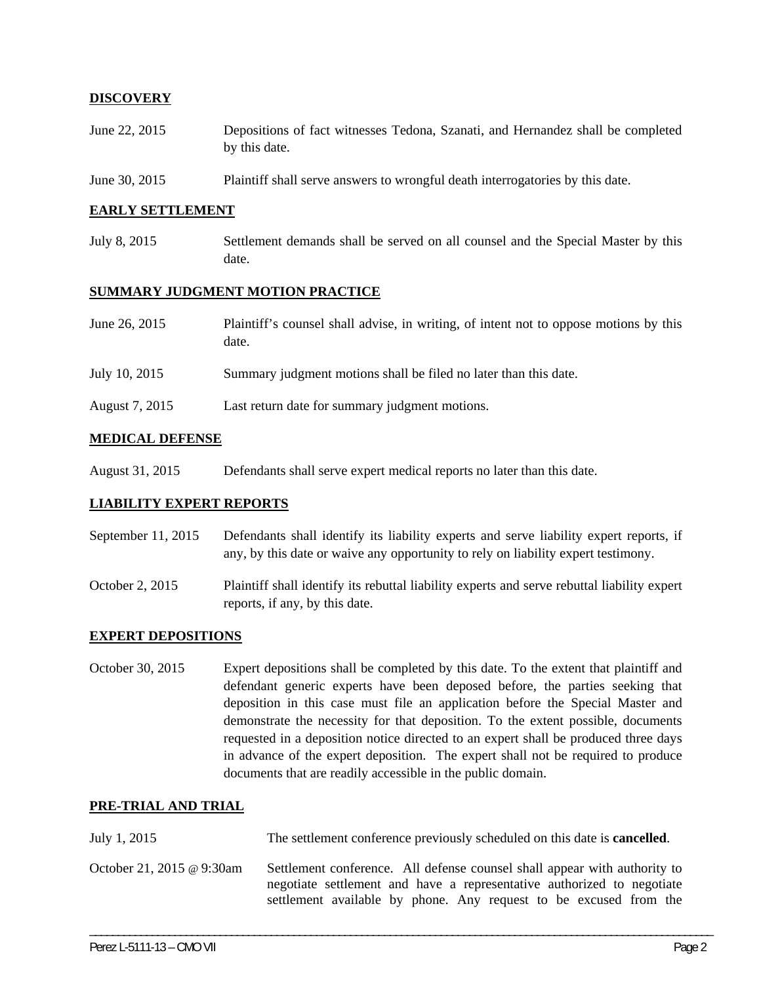## **DISCOVERY**

- June 22, 2015 Depositions of fact witnesses Tedona, Szanati, and Hernandez shall be completed by this date.
- June 30, 2015 Plaintiff shall serve answers to wrongful death interrogatories by this date.

#### **EARLY SETTLEMENT**

July 8, 2015 Settlement demands shall be served on all counsel and the Special Master by this date.

#### **SUMMARY JUDGMENT MOTION PRACTICE**

| June 26, 2015  | Plaintiff's counsel shall advise, in writing, of intent not to oppose motions by this<br>date. |
|----------------|------------------------------------------------------------------------------------------------|
| July 10, 2015  | Summary judgment motions shall be filed no later than this date.                               |
| August 7, 2015 | Last return date for summary judgment motions.                                                 |

#### **MEDICAL DEFENSE**

August 31, 2015 Defendants shall serve expert medical reports no later than this date.

### **LIABILITY EXPERT REPORTS**

- September 11, 2015 Defendants shall identify its liability experts and serve liability expert reports, if any, by this date or waive any opportunity to rely on liability expert testimony.
- October 2, 2015 Plaintiff shall identify its rebuttal liability experts and serve rebuttal liability expert reports, if any, by this date.

#### **EXPERT DEPOSITIONS**

October 30, 2015 Expert depositions shall be completed by this date. To the extent that plaintiff and defendant generic experts have been deposed before, the parties seeking that deposition in this case must file an application before the Special Master and demonstrate the necessity for that deposition. To the extent possible, documents requested in a deposition notice directed to an expert shall be produced three days in advance of the expert deposition. The expert shall not be required to produce documents that are readily accessible in the public domain.

#### **PRE-TRIAL AND TRIAL**

| July 1, 2015              | The settlement conference previously scheduled on this date is <b>cancelled</b> .                                                                                                                                        |
|---------------------------|--------------------------------------------------------------------------------------------------------------------------------------------------------------------------------------------------------------------------|
| October 21, 2015 @ 9:30am | Settlement conference. All defense counsel shall appear with authority to<br>negotiate settlement and have a representative authorized to negotiate<br>settlement available by phone. Any request to be excused from the |

\_\_\_\_\_\_\_\_\_\_\_\_\_\_\_\_\_\_\_\_\_\_\_\_\_\_\_\_\_\_\_\_\_\_\_\_\_\_\_\_\_\_\_\_\_\_\_\_\_\_\_\_\_\_\_\_\_\_\_\_\_\_\_\_\_\_\_\_\_\_\_\_\_\_\_\_\_\_\_\_\_\_\_\_\_\_\_\_\_\_\_\_\_\_\_\_\_\_\_\_\_\_\_\_\_\_\_\_\_\_